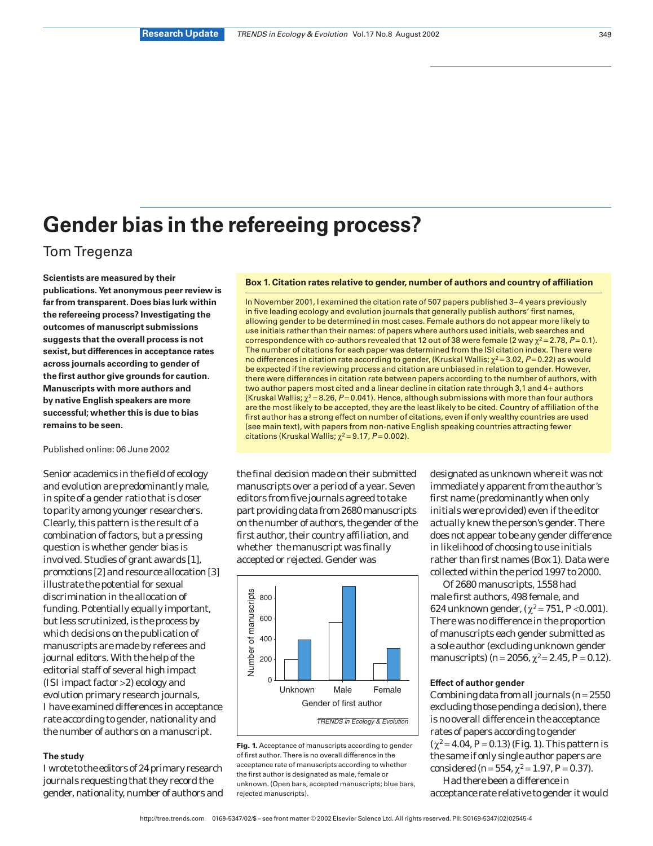# **Gender bias in the refereeing process?**

# Tom Tregenza

**Scientists are measured by their publications. Yet anonymous peer review is far from transparent. Does bias lurk within the refereeing process? Investigating the outcomes of manuscript submissions suggests that the overall process is not sexist, but differences in acceptance rates across journals according to gender of the first author give grounds for caution. Manuscripts with more authors and by native English speakers are more successful; whether this is due to bias remains to be seen.**

### Published online: 06 June 2002

Senior academics in the field of ecology and evolution are predominantly male, in spite of a gender ratio that is closer to parity among younger researchers. Clearly, this pattern is the result of a combination of factors, but a pressing question is whether gender bias is involved. Studies of grant awards [1], promotions [2] and resource allocation [3] illustrate the potential for sexual discrimination in the allocation of funding. Potentially equally important, but less scrutinized, is the process by which decisions on the publication of manuscripts are made by referees and journal editors. With the help of the editorial staff of several high impact (ISI impact factor >2) ecology and evolution primary research journals, I have examined differences in acceptance rate according to gender, nationality and the number of authors on a manuscript.

# **The study**

I wrote to the editors of 24 primary research journals requesting that they record the gender, nationality, number of authors and

## **Box 1. Citation rates relative to gender, number of authors and country of affiliation**

In November 2001, I examined the citation rate of 507 papers published 3–4 years previously in five leading ecology and evolution journals that generally publish authors' first names, allowing gender to be determined in most cases. Female authors do not appear more likely to use initials rather than their names: of papers where authors used initials, web searches and correspondence with co-authors revealed that 12 out of 38 were female (2 way  $\chi^2$  = 2.78, P = 0.1). The number of citations for each paper was determined from the ISI citation index. There were no differences in citation rate according to gender, (Kruskal Wallis;  $\chi^2$  = 3.02, P = 0.22) as would be expected if the reviewing process and citation are unbiased in relation to gender. However, there were differences in citation rate between papers according to the number of authors, with two author papers most cited and a linear decline in citation rate through 3,1 and 4+ authors (Kruskal Wallis;  $\gamma^2$  = 8.26, P = 0.041). Hence, although submissions with more than four authors are the most likely to be accepted, they are the least likely to be cited. Country of affiliation of the first author has a strong effect on number of citations, even if only wealthy countries are used (see main text), with papers from non-native English speaking countries attracting fewer citations (Kruskal Wallis;  $\chi^2$  = 9.17, P = 0.002).

the final decision made on their submitted manuscripts over a period of a year. Seven editors from five journals agreed to take part providing data from 2680 manuscripts on the number of authors, the gender of the first author, their country affiliation, and whether the manuscript was finally accepted or rejected. Gender was



**Fig. 1.** Acceptance of manuscripts according to gender of first author. There is no overall difference in the acceptance rate of manuscripts according to whether the first author is designated as male, female or unknown. (Open bars, accepted manuscripts; blue bars, rejected manuscripts).

designated as unknown where it was not immediately apparent from the author's first name (predominantly when only initials were provided) even if the editor actually knew the person's gender. There does not appear to be any gender difference in likelihood of choosing to use initials rather than first names (Box 1). Data were collected within the period 1997 to 2000.

Of 2680 manuscripts, 1558 had male first authors, 498 female, and 624 unknown gender,  $(\chi^2 = 751, P < 0.001)$ . There was no difference in the proportion of manuscripts each gender submitted as a sole author (excluding unknown gender manuscripts)  $(n=2056, \chi^2=2.45, P=0.12)$ .

#### **Effect of author gender**

Combining data from all journals (*n* = 2550 excluding those pending a decision), there is no overall difference in the acceptance rates of papers according to gender  $(\chi^2 = 4.04, P = 0.13)$  (Fig. 1). This pattern is the same if only single author papers are considered ( $n = 554$ ,  $\chi^2 = 1.97$ ,  $P = 0.37$ ).

Had there been a difference in acceptance rate relative to gender it would